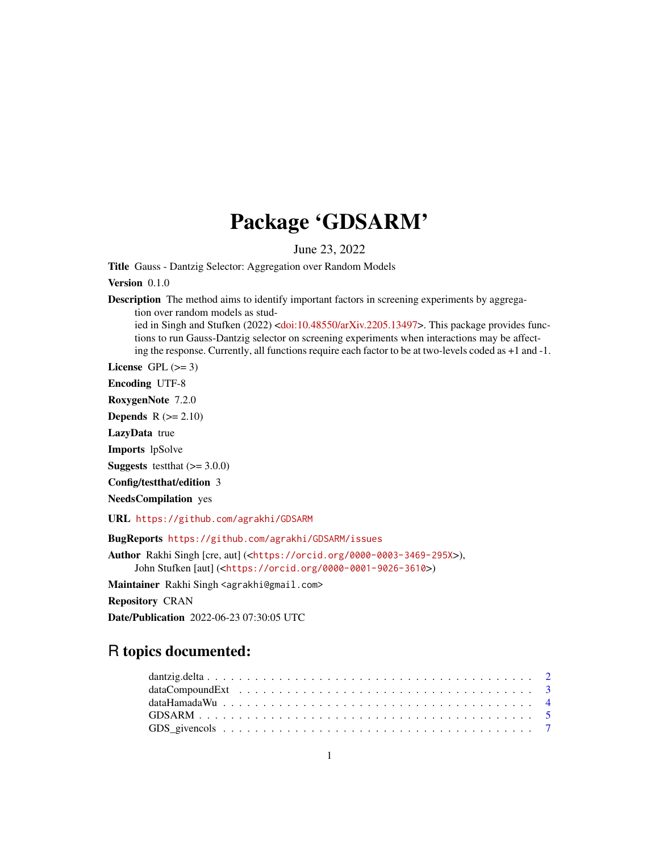## Package 'GDSARM'

June 23, 2022

Title Gauss - Dantzig Selector: Aggregation over Random Models

Version 0.1.0

**Description** The method aims to identify important factors in screening experiments by aggregation over random models as studied in Singh and Stufken (2022) [<doi:10.48550/arXiv.2205.13497>](https://doi.org/10.48550/arXiv.2205.13497). This package provides func-

tions to run Gauss-Dantzig selector on screening experiments when interactions may be affecting the response. Currently, all functions require each factor to be at two-levels coded as +1 and -1.

License GPL  $(>= 3)$ 

Encoding UTF-8

RoxygenNote 7.2.0

**Depends**  $R$  ( $>= 2.10$ )

LazyData true

Imports lpSolve

**Suggests** testthat  $(>= 3.0.0)$ 

Config/testthat/edition 3

NeedsCompilation yes

URL <https://github.com/agrakhi/GDSARM>

BugReports <https://github.com/agrakhi/GDSARM/issues>

Author Rakhi Singh [cre, aut] (<<https://orcid.org/0000-0003-3469-295X>>), John Stufken [aut] (<<https://orcid.org/0000-0001-9026-3610>>)

Maintainer Rakhi Singh <agrakhi@gmail.com>

Repository CRAN

Date/Publication 2022-06-23 07:30:05 UTC

### R topics documented: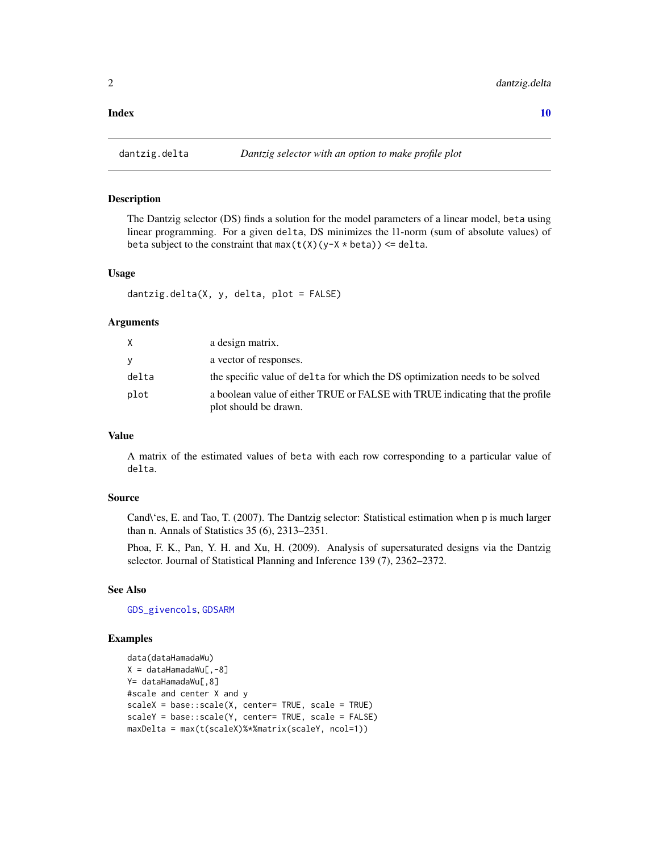<span id="page-1-1"></span><span id="page-1-0"></span>

#### Description

The Dantzig selector (DS) finds a solution for the model parameters of a linear model, beta using linear programming. For a given delta, DS minimizes the l1-norm (sum of absolute values) of beta subject to the constraint that  $max(t(X)(y-X * beta)) \leq delta$ .

#### Usage

dantzig.delta(X, y, delta, plot = FALSE)

#### Arguments

|       | a design matrix.                                                                                       |
|-------|--------------------------------------------------------------------------------------------------------|
| V     | a vector of responses.                                                                                 |
| delta | the specific value of delta for which the DS optimization needs to be solved                           |
| plot  | a boolean value of either TRUE or FALSE with TRUE indicating that the profile<br>plot should be drawn. |

#### Value

A matrix of the estimated values of beta with each row corresponding to a particular value of delta.

#### Source

Cand\'es, E. and Tao, T. (2007). The Dantzig selector: Statistical estimation when p is much larger than n. Annals of Statistics 35 (6), 2313–2351.

Phoa, F. K., Pan, Y. H. and Xu, H. (2009). Analysis of supersaturated designs via the Dantzig selector. Journal of Statistical Planning and Inference 139 (7), 2362–2372.

#### See Also

[GDS\\_givencols](#page-6-1), [GDSARM](#page-4-1)

#### Examples

```
data(dataHamadaWu)
X = dataHamadawu[, -8]Y= dataHamadaWu[, 8]
#scale and center X and y
scaleX = base::scale(X, center= TRUE, scale = TRUE)
scaleY = base::scale(Y, center= TRUE, scale = FALSE)
maxDelta = max(t(scaleX)%*%matrix(scaleY, ncol=1))
```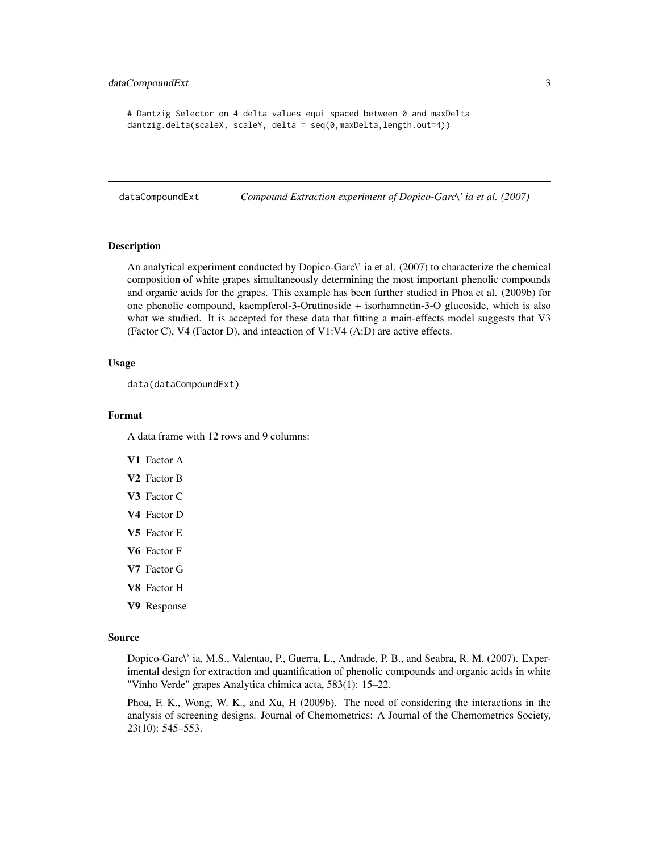```
# Dantzig Selector on 4 delta values equi spaced between 0 and maxDelta
dantzig.delta(scaleX, scaleY, delta = seq(0,maxDelta,length.out=4))
```
dataCompoundExt *Compound Extraction experiment of Dopico-Garc\' ia et al. (2007)*

#### Description

An analytical experiment conducted by Dopico-Garc\' ia et al. (2007) to characterize the chemical composition of white grapes simultaneously determining the most important phenolic compounds and organic acids for the grapes. This example has been further studied in Phoa et al. (2009b) for one phenolic compound, kaempferol-3-Orutinoside + isorhamnetin-3-O glucoside, which is also what we studied. It is accepted for these data that fitting a main-effects model suggests that V3 (Factor C), V4 (Factor D), and inteaction of V1:V4 (A:D) are active effects.

#### Usage

```
data(dataCompoundExt)
```
#### Format

A data frame with 12 rows and 9 columns:

- V1 Factor A
- V2 Factor B
- V<sub>3</sub> Factor C
- V4 Factor D
- V5 Factor E
- V6 Factor F
- V7 Factor G
- V8 Factor H
- V9 Response

#### Source

Dopico-Garc\' ia, M.S., Valentao, P., Guerra, L., Andrade, P. B., and Seabra, R. M. (2007). Experimental design for extraction and quantification of phenolic compounds and organic acids in white "Vinho Verde" grapes Analytica chimica acta, 583(1): 15–22.

Phoa, F. K., Wong, W. K., and Xu, H (2009b). The need of considering the interactions in the analysis of screening designs. Journal of Chemometrics: A Journal of the Chemometrics Society, 23(10): 545–553.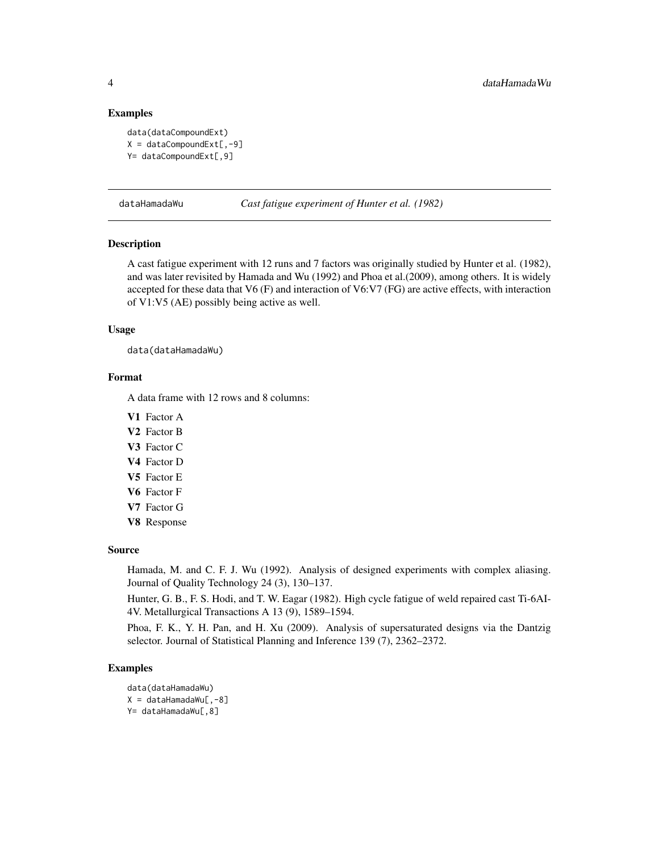#### Examples

```
data(dataCompoundExt)
X = dataCompoundExt[, -9]Y= dataCompoundExt[,9]
```
dataHamadaWu *Cast fatigue experiment of Hunter et al. (1982)*

#### Description

A cast fatigue experiment with 12 runs and 7 factors was originally studied by Hunter et al. (1982), and was later revisited by Hamada and Wu (1992) and Phoa et al.(2009), among others. It is widely accepted for these data that V6 (F) and interaction of V6:V7 (FG) are active effects, with interaction of V1:V5 (AE) possibly being active as well.

#### Usage

data(dataHamadaWu)

#### Format

A data frame with 12 rows and 8 columns:

V1 Factor A

- V2 Factor B
- V3 Factor C
- V4 Factor D
- V5 Factor E
- V6 Factor F
- V7 Factor G
- V8 Response

#### Source

Hamada, M. and C. F. J. Wu (1992). Analysis of designed experiments with complex aliasing. Journal of Quality Technology 24 (3), 130–137.

Hunter, G. B., F. S. Hodi, and T. W. Eagar (1982). High cycle fatigue of weld repaired cast Ti-6AI-4V. Metallurgical Transactions A 13 (9), 1589–1594.

Phoa, F. K., Y. H. Pan, and H. Xu (2009). Analysis of supersaturated designs via the Dantzig selector. Journal of Statistical Planning and Inference 139 (7), 2362–2372.

#### Examples

```
data(dataHamadaWu)
X = dataHamadawu[, -8]Y= dataHamadaWu[, 8]
```
<span id="page-3-0"></span>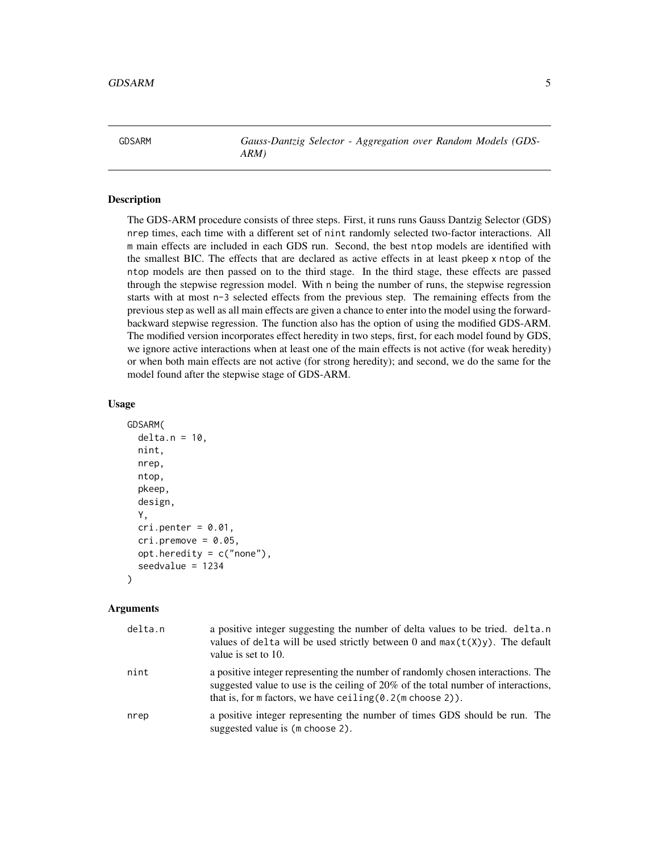<span id="page-4-1"></span><span id="page-4-0"></span>GDSARM *Gauss-Dantzig Selector - Aggregation over Random Models (GDS-ARM)*

#### Description

The GDS-ARM procedure consists of three steps. First, it runs runs Gauss Dantzig Selector (GDS) nrep times, each time with a different set of nint randomly selected two-factor interactions. All m main effects are included in each GDS run. Second, the best ntop models are identified with the smallest BIC. The effects that are declared as active effects in at least pkeep x ntop of the ntop models are then passed on to the third stage. In the third stage, these effects are passed through the stepwise regression model. With n being the number of runs, the stepwise regression starts with at most n-3 selected effects from the previous step. The remaining effects from the previous step as well as all main effects are given a chance to enter into the model using the forwardbackward stepwise regression. The function also has the option of using the modified GDS-ARM. The modified version incorporates effect heredity in two steps, first, for each model found by GDS, we ignore active interactions when at least one of the main effects is not active (for weak heredity) or when both main effects are not active (for strong heredity); and second, we do the same for the model found after the stepwise stage of GDS-ARM.

#### Usage

```
GDSARM(
  delta.n = 10,
  nint,
  nrep,
  ntop,
  pkeep,
  design,
  Y,
  cri.penter = <math>0.01</math>,cri.premove = <math>0.05</math>,opt.heredity = c("none"),
  seedvalue = 1234
)
```
#### Arguments

| delta.n | a positive integer suggesting the number of delta values to be tried. delta.n<br>values of delta will be used strictly between 0 and $max(t(X)y)$ . The default<br>value is set to 10.                                                           |
|---------|--------------------------------------------------------------------------------------------------------------------------------------------------------------------------------------------------------------------------------------------------|
| nint    | a positive integer representing the number of randomly chosen interactions. The<br>suggested value to use is the ceiling of 20% of the total number of interactions,<br>that is, for $m$ factors, we have ceiling $(0.2(m \text{ choose } 2))$ . |
| nrep    | a positive integer representing the number of times GDS should be run. The<br>suggested value is (m choose 2).                                                                                                                                   |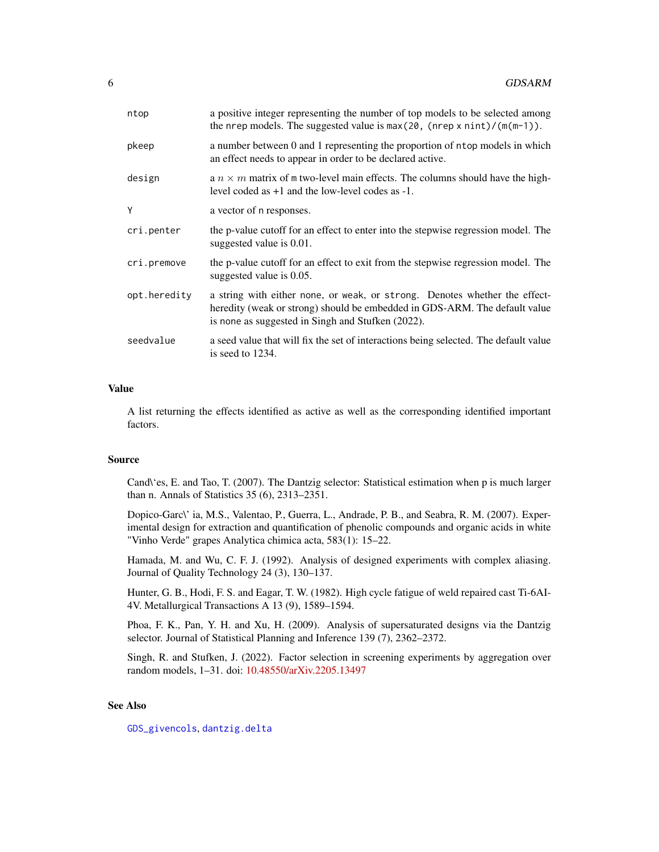<span id="page-5-0"></span>

| ntop         | a positive integer representing the number of top models to be selected among<br>the nrep models. The suggested value is $max(20, (nrep \times nint)/(m(m-1))$ .                                              |
|--------------|---------------------------------------------------------------------------------------------------------------------------------------------------------------------------------------------------------------|
| pkeep        | a number between 0 and 1 representing the proportion of ntop models in which<br>an effect needs to appear in order to be declared active.                                                                     |
| design       | a $n \times m$ matrix of m two-level main effects. The columns should have the high-<br>level coded as $+1$ and the low-level codes as $-1$ .                                                                 |
| Y            | a vector of n responses.                                                                                                                                                                                      |
| cri.penter   | the p-value cutoff for an effect to enter into the stepwise regression model. The<br>suggested value is 0.01.                                                                                                 |
| cri.premove  | the p-value cutoff for an effect to exit from the stepwise regression model. The<br>suggested value is 0.05.                                                                                                  |
| opt.heredity | a string with either none, or weak, or strong. Denotes whether the effect-<br>heredity (weak or strong) should be embedded in GDS-ARM. The default value<br>is none as suggested in Singh and Stufken (2022). |
| seedvalue    | a seed value that will fix the set of interactions being selected. The default value<br>is seed to 1234.                                                                                                      |
|              |                                                                                                                                                                                                               |

#### Value

A list returning the effects identified as active as well as the corresponding identified important factors.

#### Source

Cand\'es, E. and Tao, T. (2007). The Dantzig selector: Statistical estimation when p is much larger than n. Annals of Statistics 35 (6), 2313–2351.

Dopico-Garc\' ia, M.S., Valentao, P., Guerra, L., Andrade, P. B., and Seabra, R. M. (2007). Experimental design for extraction and quantification of phenolic compounds and organic acids in white "Vinho Verde" grapes Analytica chimica acta, 583(1): 15–22.

Hamada, M. and Wu, C. F. J. (1992). Analysis of designed experiments with complex aliasing. Journal of Quality Technology 24 (3), 130–137.

Hunter, G. B., Hodi, F. S. and Eagar, T. W. (1982). High cycle fatigue of weld repaired cast Ti-6AI-4V. Metallurgical Transactions A 13 (9), 1589–1594.

Phoa, F. K., Pan, Y. H. and Xu, H. (2009). Analysis of supersaturated designs via the Dantzig selector. Journal of Statistical Planning and Inference 139 (7), 2362–2372.

Singh, R. and Stufken, J. (2022). Factor selection in screening experiments by aggregation over random models, 1–31. doi: [10.48550/arXiv.2205.13497](https://doi.org/10.48550/arXiv.2205.13497)

#### See Also

[GDS\\_givencols](#page-6-1), [dantzig.delta](#page-1-1)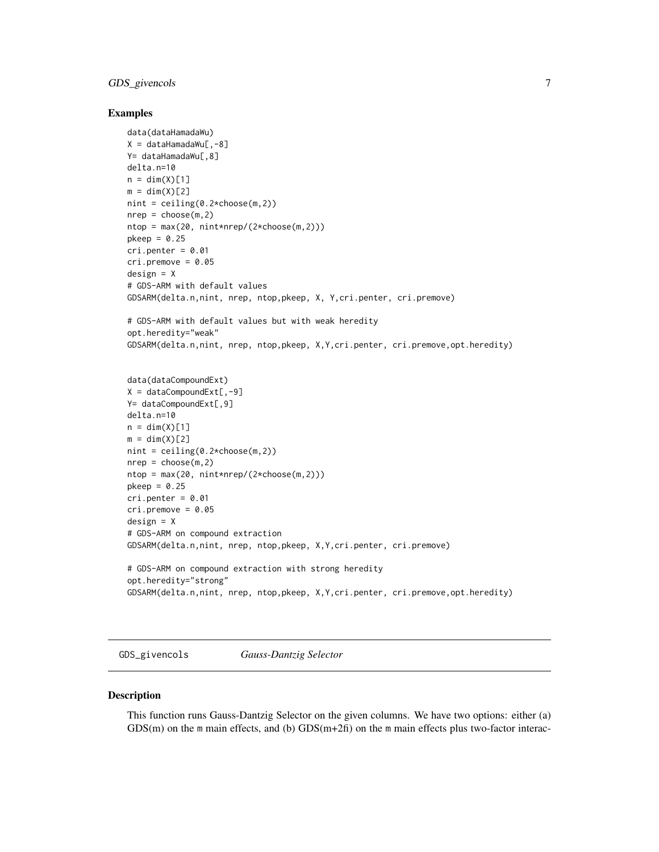#### <span id="page-6-0"></span>GDS\_givencols 7

#### Examples

```
data(dataHamadaWu)
X = \text{dataHamadawu[, -8]Y= dataHamadaWu[,8]
delta.n=10
n = \dim(X)[1]m = dim(X)[2]nint = ceiling(0.2*choose(m,2))
nrep = choose(m, 2)ntop = max(20, nint*nrep/(2*choose(m,2)))pkeep = 0.25cri.penter = <math>0.01</math>cri.premove = <math>0.05</math>design = X
# GDS-ARM with default values
GDSARM(delta.n,nint, nrep, ntop,pkeep, X, Y,cri.penter, cri.premove)
# GDS-ARM with default values but with weak heredity
opt.heredity="weak"
GDSARM(delta.n,nint, nrep, ntop,pkeep, X,Y,cri.penter, cri.premove,opt.heredity)
data(dataCompoundExt)
X = dataCompoundExt[, -9]Y= dataCompoundExt[, 9]
delta.n=10
n = dim(X)[1]m = dim(X)[2]nint = ceiling(0.2*choose(m,2))nrep = choose(m, 2)ntop = max(20, nint*nrep/(2*choose(m,2)))
pkeep = 0.25cri.penter = <math>0.01</math>cri.premove = <math>0.05</math>design = X
# GDS-ARM on compound extraction
GDSARM(delta.n,nint, nrep, ntop,pkeep, X,Y,cri.penter, cri.premove)
# GDS-ARM on compound extraction with strong heredity
opt.heredity="strong"
GDSARM(delta.n,nint, nrep, ntop,pkeep, X,Y,cri.penter, cri.premove,opt.heredity)
```
<span id="page-6-1"></span>GDS\_givencols *Gauss-Dantzig Selector*

#### Description

This function runs Gauss-Dantzig Selector on the given columns. We have two options: either (a)  $GDS(m)$  on the m main effects, and (b)  $GDS(m+2fi)$  on the m main effects plus two-factor interac-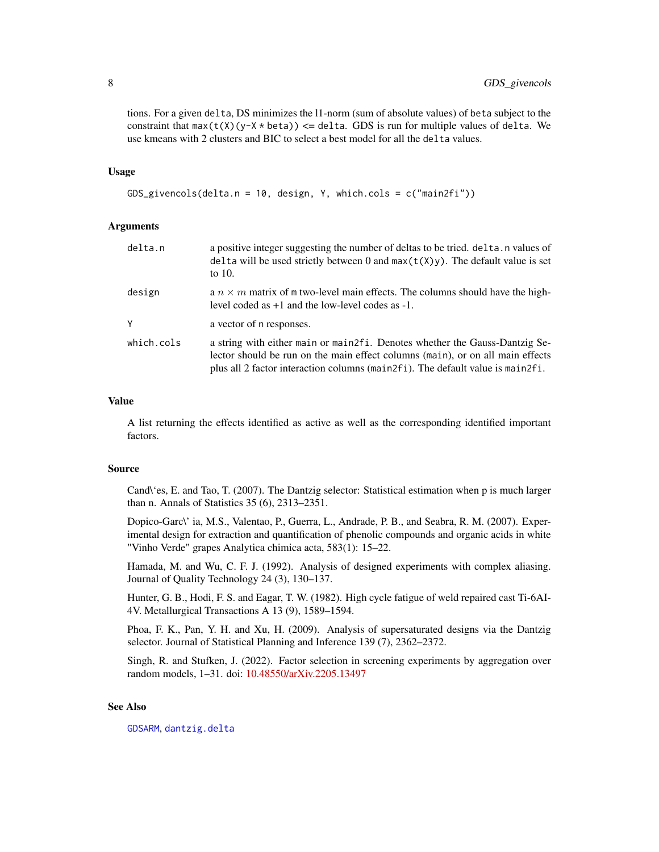<span id="page-7-0"></span>tions. For a given delta, DS minimizes the l1-norm (sum of absolute values) of beta subject to the constraint that  $max(t(X)(y-X * beta)) \leq delta$ . GDS is run for multiple values of delta. We use kmeans with 2 clusters and BIC to select a best model for all the delta values.

#### Usage

```
GDS_givencols(delta.n = 10, design, Y, which.cols = c("main2fi"))
```
#### Arguments

| delta.n    | a positive integer suggesting the number of deltas to be tried. delta. n values of<br>delta will be used strictly between 0 and $max(t(X)y)$ . The default value is set<br>to $10$ .                                                              |
|------------|---------------------------------------------------------------------------------------------------------------------------------------------------------------------------------------------------------------------------------------------------|
| design     | a $n \times m$ matrix of m two-level main effects. The columns should have the high-<br>level coded as $+1$ and the low-level codes as $-1$ .                                                                                                     |
| V          | a vector of n responses.                                                                                                                                                                                                                          |
| which.cols | a string with either main or main 2f i. Denotes whether the Gauss-Dantzig Se-<br>lector should be run on the main effect columns (main), or on all main effects<br>plus all 2 factor interaction columns (main2fi). The default value is main2fi. |

#### Value

A list returning the effects identified as active as well as the corresponding identified important factors.

#### Source

Cand\'es, E. and Tao, T. (2007). The Dantzig selector: Statistical estimation when p is much larger than n. Annals of Statistics 35 (6), 2313–2351.

Dopico-Garc\' ia, M.S., Valentao, P., Guerra, L., Andrade, P. B., and Seabra, R. M. (2007). Experimental design for extraction and quantification of phenolic compounds and organic acids in white "Vinho Verde" grapes Analytica chimica acta, 583(1): 15–22.

Hamada, M. and Wu, C. F. J. (1992). Analysis of designed experiments with complex aliasing. Journal of Quality Technology 24 (3), 130–137.

Hunter, G. B., Hodi, F. S. and Eagar, T. W. (1982). High cycle fatigue of weld repaired cast Ti-6AI-4V. Metallurgical Transactions A 13 (9), 1589–1594.

Phoa, F. K., Pan, Y. H. and Xu, H. (2009). Analysis of supersaturated designs via the Dantzig selector. Journal of Statistical Planning and Inference 139 (7), 2362–2372.

Singh, R. and Stufken, J. (2022). Factor selection in screening experiments by aggregation over random models, 1–31. doi: [10.48550/arXiv.2205.13497](https://doi.org/10.48550/arXiv.2205.13497)

#### See Also

[GDSARM](#page-4-1), [dantzig.delta](#page-1-1)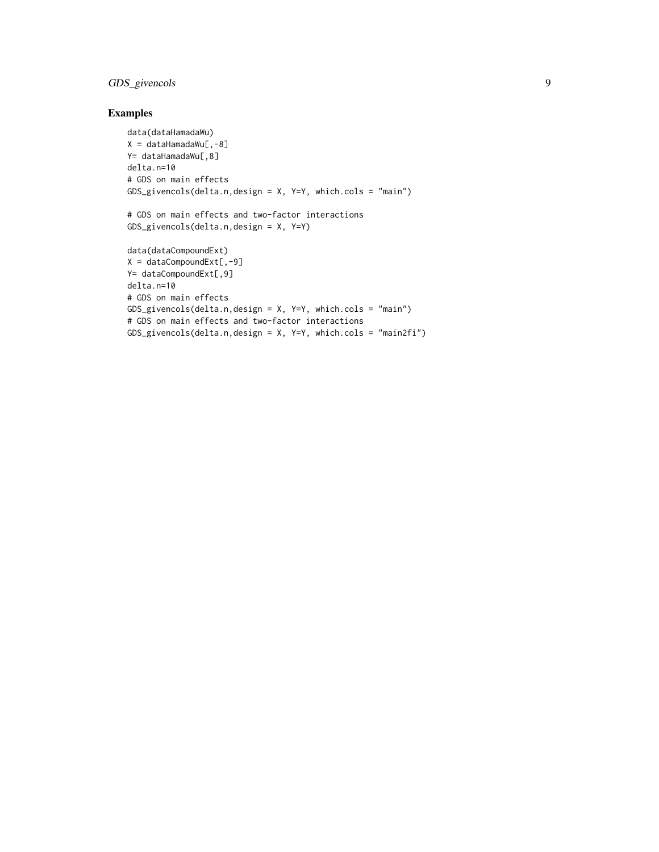#### GDS\_givencols 9

#### Examples

```
data(dataHamadaWu)
X = dataHamadawu[, -8]Y= dataHamadaWu[,8]
delta.n=10
# GDS on main effects
GDS_givencols(delta.n,design = X, Y=Y, which.cols = "main")
# GDS on main effects and two-factor interactions
GDS_givencols(delta.n,design = X, Y=Y)
data(dataCompoundExt)
X = dataCompoundExt[, -9]Y= dataCompoundExt[, 9]
delta.n=10
# GDS on main effects
GDS_givencols(delta.n,design = X, Y=Y, which.cols = "main")
# GDS on main effects and two-factor interactions
GDS_givencols(delta.n,design = X, Y=Y, which.cols = "main2fi")
```